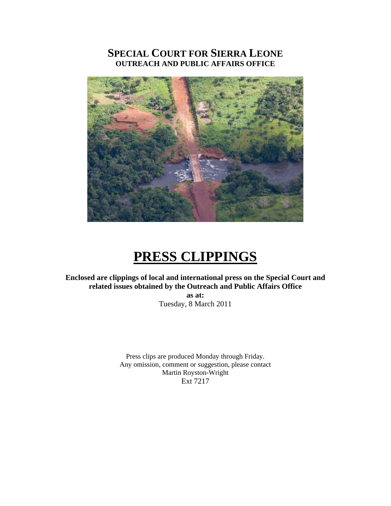# **SPECIAL COURT FOR SIERRA LEONE OUTREACH AND PUBLIC AFFAIRS OFFICE**



# **PRESS CLIPPINGS**

### **Enclosed are clippings of local and international press on the Special Court and related issues obtained by the Outreach and Public Affairs Office**

**as at:**  Tuesday, 8 March 2011

Press clips are produced Monday through Friday. Any omission, comment or suggestion, please contact Martin Royston-Wright Ext 7217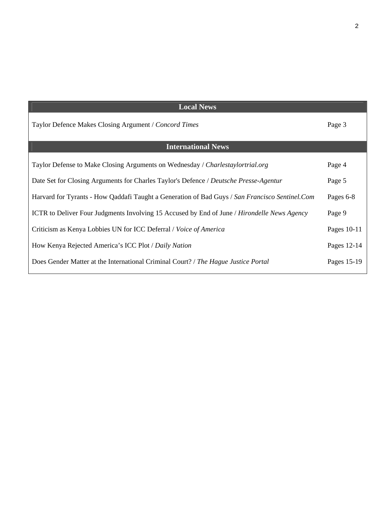| <b>Local News</b>                                                                               |             |
|-------------------------------------------------------------------------------------------------|-------------|
| Taylor Defence Makes Closing Argument / Concord Times                                           | Page 3      |
| <b>International News</b>                                                                       |             |
| Taylor Defense to Make Closing Arguments on Wednesday / Charlestaylortrial.org                  | Page 4      |
| Date Set for Closing Arguments for Charles Taylor's Defence / Deutsche Presse-Agentur           | Page 5      |
| Harvard for Tyrants - How Qaddafi Taught a Generation of Bad Guys / San Francisco Sentinel. Com | Pages 6-8   |
| ICTR to Deliver Four Judgments Involving 15 Accused by End of June / Hirondelle News Agency     | Page 9      |
| Criticism as Kenya Lobbies UN for ICC Deferral / Voice of America                               | Pages 10-11 |
| How Kenya Rejected America's ICC Plot / Daily Nation                                            | Pages 12-14 |
| Does Gender Matter at the International Criminal Court? / The Hague Justice Portal              | Pages 15-19 |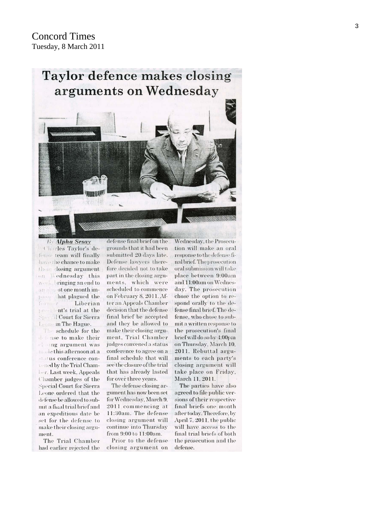# Taylor defence makes closing arguments on Wednesday



**By Alpha Sesav** Charles Taylor's defins team will finally have the chance to make their closing argument on Wednesday this week, bringing an end to an almost one month imhat plagued the  $1)$ :1889 form -y Liberian president's trial at the **Special Court for Sierra** Leone in The Hague.

The schedule for the defense to make their closing argument was made this afternoon at a status conference convened by the Trial Chamber. Last week, Appeals Chamber judges of the **Special Court for Sierra** Leone ordered that the defense be allowed to submit a final trial brief and an expeditious date be set for the defense to make their closing argument.

The Trial Chamber had earlier rejected the

defense final brief on the grounds that it had been submitted 20 days late. Defense lawyers therefore decided not to take part in the closing arguments, which were scheduled to commence on February 8, 2011. After an Appeals Chamber decision that the defense final brief be accepted and they be allowed to make their closing argument, Trial Chamber judges convened a status conference to agree on a final schedule that will see'the closure of the trial that has already lasted for over three years.

The defense closing argument has now been set for Wednesday, March 9. 2011 commencing at 11:30am. The defense closing argument will continue into Thursday from 9:00 to 11:00am.

Prior to the defense closing argument on

Wednesday, the Prosecution will make an oral response to the defense final brief. The prosecution oral submission will take place between 9:00am and 11:00am on Wednesday. The prosecution chose the option to respond orally to the defense final brief. The defense, who chose to submit a written response to the prosecution's final brief will do so by 4:00pm on Thursday, March 10, 2011. Rebuttal arguments to each party's closing argument will take place on Friday. March 11, 2011.

The parties have also agreed to file public versions of their respective final briefs one month after today. Therefore, by April 7, 2011, the public will have access to the final trial briefs of both the prosecution and the defense.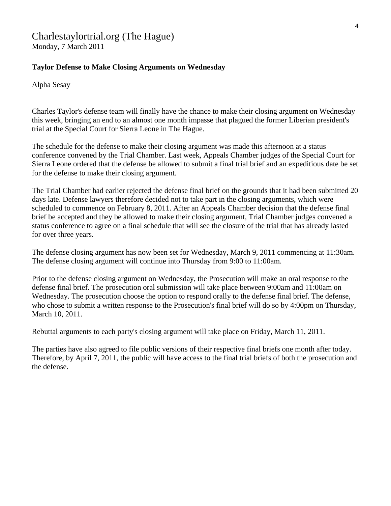# Charlestaylortrial.org (The Hague)

Monday, 7 March 2011

### **Taylor Defense to Make Closing Arguments on Wednesday**

Alpha Sesay

Charles Taylor's defense team will finally have the chance to make their closing argument on Wednesday this week, bringing an end to an almost one month impasse that plagued the former Liberian president's trial at the Special Court for Sierra Leone in The Hague.

The schedule for the defense to make their closing argument was made this afternoon at a status conference convened by the Trial Chamber. Last week, Appeals Chamber judges of the Special Court for Sierra Leone ordered that the defense be allowed to submit a final trial brief and an expeditious date be set for the defense to make their closing argument.

The Trial Chamber had earlier rejected the defense final brief on the grounds that it had been submitted 20 days late. Defense lawyers therefore decided not to take part in the closing arguments, which were scheduled to commence on February 8, 2011. After an Appeals Chamber decision that the defense final brief be accepted and they be allowed to make their closing argument, Trial Chamber judges convened a status conference to agree on a final schedule that will see the closure of the trial that has already lasted for over three years.

The defense closing argument has now been set for Wednesday, March 9, 2011 commencing at 11:30am. The defense closing argument will continue into Thursday from 9:00 to 11:00am.

Prior to the defense closing argument on Wednesday, the Prosecution will make an oral response to the defense final brief. The prosecution oral submission will take place between 9:00am and 11:00am on Wednesday. The prosecution choose the option to respond orally to the defense final brief. The defense, who chose to submit a written response to the Prosecution's final brief will do so by 4:00pm on Thursday, March 10, 2011.

Rebuttal arguments to each party's closing argument will take place on Friday, March 11, 2011.

The parties have also agreed to file public versions of their respective final briefs one month after today. Therefore, by April 7, 2011, the public will have access to the final trial briefs of both the prosecution and the defense.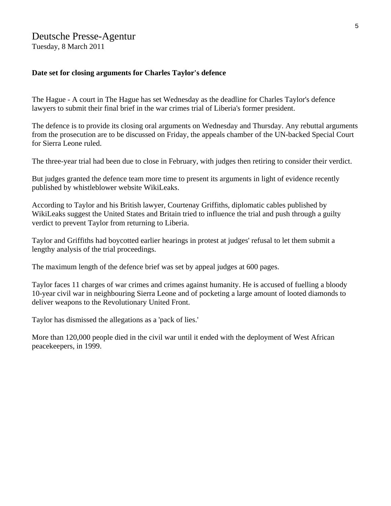## Deutsche Presse-Agentur

Tuesday, 8 March 2011

#### **Date set for closing arguments for Charles Taylor's defence**

The Hague - A court in The Hague has set Wednesday as the deadline for Charles Taylor's defence lawyers to submit their final brief in the war crimes trial of Liberia's former president.

The defence is to provide its closing oral arguments on Wednesday and Thursday. Any rebuttal arguments from the prosecution are to be discussed on Friday, the appeals chamber of the UN-backed Special Court for Sierra Leone ruled.

The three-year trial had been due to close in February, with judges then retiring to consider their verdict.

But judges granted the defence team more time to present its arguments in light of evidence recently published by whistleblower website WikiLeaks.

According to Taylor and his British lawyer, Courtenay Griffiths, diplomatic cables published by WikiLeaks suggest the United States and Britain tried to influence the trial and push through a guilty verdict to prevent Taylor from returning to Liberia.

Taylor and Griffiths had boycotted earlier hearings in protest at judges' refusal to let them submit a lengthy analysis of the trial proceedings.

The maximum length of the defence brief was set by appeal judges at 600 pages.

Taylor faces 11 charges of war crimes and crimes against humanity. He is accused of fuelling a bloody 10-year civil war in neighbouring Sierra Leone and of pocketing a large amount of looted diamonds to deliver weapons to the Revolutionary United Front.

Taylor has dismissed the allegations as a 'pack of lies.'

More than 120,000 people died in the civil war until it ended with the deployment of West African peacekeepers, in 1999.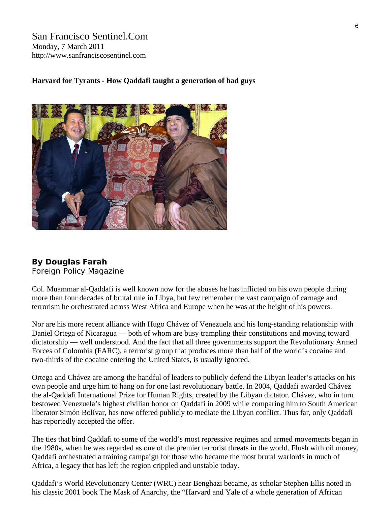San Francisco Sentinel.Com Monday, 7 March 2011 http://www.sanfranciscosentinel.com

#### **Harvard for Tyrants - How Qaddafi taught a generation of bad guys**



### **By Douglas Farah**

[Foreign Policy Magazine](http://www.foreignpolicy.com/)

Col. Muammar al-Qaddafi is well known now for the abuses he has inflicted on his own people during more than four decades of brutal rule in Libya, but few remember the vast campaign of carnage and terrorism he orchestrated across West Africa and Europe when he was at the height of his powers.

Nor are his more recent alliance with Hugo Chávez of Venezuela and his long-standing relationship with Daniel Ortega of Nicaragua — both of whom are busy trampling their constitutions and moving toward dictatorship — well understood. And the fact that all three governments support the Revolutionary Armed Forces of Colombia (FARC), a terrorist group that produces more than half of the world's cocaine and two-thirds of the cocaine entering the United States, is usually ignored.

Ortega and Chávez are among the handful of leaders to publicly defend the Libyan leader's attacks on his own people and urge him to hang on for one last revolutionary battle. In 2004, Qaddafi awarded Chávez the al-Qaddafi International Prize for Human Rights, created by the Libyan dictator. Chávez, who in turn bestowed Venezuela's highest civilian honor on Qaddafi in 2009 while comparing him to South American liberator Simón Bolívar, has now offered publicly to mediate the Libyan conflict. Thus far, only Qaddafi has reportedly accepted the offer.

The ties that bind Qaddafi to some of the world's most repressive regimes and armed movements began in the 1980s, when he was regarded as one of the premier terrorist threats in the world. Flush with oil money, Qaddafi orchestrated a training campaign for those who became the most brutal warlords in much of Africa, a legacy that has left the region crippled and unstable today.

Qaddafi's World Revolutionary Center (WRC) near Benghazi became, as scholar Stephen Ellis noted in his classic 2001 book The Mask of Anarchy, the "Harvard and Yale of a whole generation of African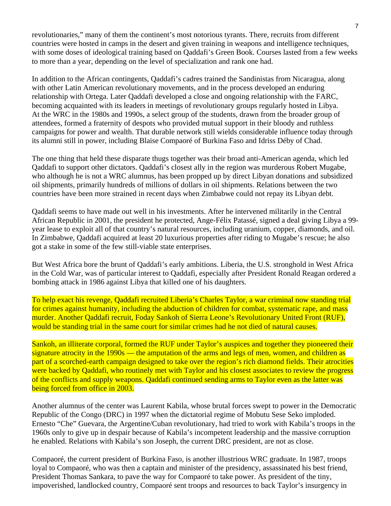revolutionaries," many of them the continent's most notorious tyrants. There, recruits from different countries were hosted in camps in the desert and given training in weapons and intelligence techniques, with some doses of ideological training based on Qaddafi's Green Book. Courses lasted from a few weeks to more than a year, depending on the level of specialization and rank one had.

In addition to the African contingents, Qaddafi's cadres trained the Sandinistas from Nicaragua, along with other Latin American revolutionary movements, and in the process developed an enduring relationship with Ortega. Later Qaddafi developed a close and ongoing relationship with the FARC, becoming acquainted with its leaders in meetings of revolutionary groups regularly hosted in Libya. At the WRC in the 1980s and 1990s, a select group of the students, drawn from the broader group of attendees, formed a fraternity of despots who provided mutual support in their bloody and ruthless campaigns for power and wealth. That durable network still wields considerable influence today through its alumni still in power, including Blaise Compaoré of Burkina Faso and Idriss Déby of Chad.

The one thing that held these disparate thugs together was their broad anti-American agenda, which led Qaddafi to support other dictators. Qaddafi's closest ally in the region was murderous Robert Mugabe, who although he is not a WRC alumnus, has been propped up by direct Libyan donations and subsidized oil shipments, primarily hundreds of millions of dollars in oil shipments. Relations between the two countries have been more strained in recent days when Zimbabwe could not repay its Libyan debt.

Qaddafi seems to have made out well in his investments. After he intervened militarily in the Central African Republic in 2001, the president he protected, Ange-Félix Patassé, signed a deal giving Libya a 99 year lease to exploit all of that country's natural resources, including uranium, copper, diamonds, and oil. In Zimbabwe, Qaddafi acquired at least 20 luxurious properties after riding to Mugabe's rescue; he also got a stake in some of the few still-viable state enterprises.

But West Africa bore the brunt of Qaddafi's early ambitions. Liberia, the U.S. stronghold in West Africa in the Cold War, was of particular interest to Qaddafi, especially after President Ronald Reagan ordered a bombing attack in 1986 against Libya that killed one of his daughters.

To help exact his revenge, Qaddafi recruited Liberia's Charles Taylor, a war criminal now standing trial for crimes against humanity, including the abduction of children for combat, systematic rape, and mass murder. Another Qaddafi recruit, Foday Sankoh of Sierra Leone's Revolutionary United Front (RUF), would be standing trial in the same court for similar crimes had he not died of natural causes.

Sankoh, an illiterate corporal, formed the RUF under Taylor's auspices and together they pioneered their signature atrocity in the 1990s — the amputation of the arms and legs of men, women, and children as part of a scorched-earth campaign designed to take over the region's rich diamond fields. Their atrocities were backed by Qaddafi, who routinely met with Taylor and his closest associates to review the progress of the conflicts and supply weapons. Qaddafi continued sending arms to Taylor even as the latter was being forced from office in 2003.

Another alumnus of the center was Laurent Kabila, whose brutal forces swept to power in the Democratic Republic of the Congo (DRC) in 1997 when the dictatorial regime of Mobutu Sese Seko imploded. Ernesto "Che" Guevara, the Argentine/Cuban revolutionary, had tried to work with Kabila's troops in the 1960s only to give up in despair because of Kabila's incompetent leadership and the massive corruption he enabled. Relations with Kabila's son Joseph, the current DRC president, are not as close.

Compaoré, the current president of Burkina Faso, is another illustrious WRC graduate. In 1987, troops loyal to Compaoré, who was then a captain and minister of the presidency, assassinated his best friend, President Thomas Sankara, to pave the way for Compaoré to take power. As president of the tiny, impoverished, landlocked country, Compaoré sent troops and resources to back Taylor's insurgency in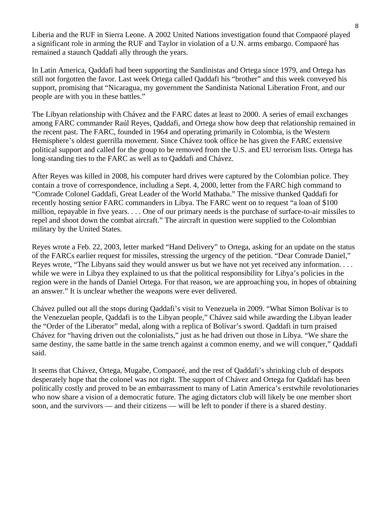Liberia and the RUF in Sierra Leone. A 2002 United Nations investigation found that Compaoré played a significant role in arming the RUF and Taylor in violation of a U.N. arms embargo. Compaoré has remained a staunch Qaddafi ally through the years.

In Latin America, Qaddafi had been supporting the Sandinistas and Ortega since 1979, and Ortega has still not forgotten the favor. Last week Ortega called Qaddafi his "brother" and this week conveyed his support, promising that "Nicaragua, my government the Sandinista National Liberation Front, and our people are with you in these battles."

The Libyan relationship with Chávez and the FARC dates at least to 2000. A series of email exchanges among FARC commander Raúl Reyes, Qaddafi, and Ortega show how deep that relationship remained in the recent past. The FARC, founded in 1964 and operating primarily in Colombia, is the Western Hemisphere's oldest guerrilla movement. Since Chávez took office he has given the FARC extensive political support and called for the group to be removed from the U.S. and EU terrorism lists. Ortega has long-standing ties to the FARC as well as to Qaddafi and Chávez.

After Reyes was killed in 2008, his computer hard drives were captured by the Colombian police. They contain a trove of correspondence, including a Sept. 4, 2000, letter from the FARC high command to "Comrade Colonel Gaddafi, Great Leader of the World Mathaba." The missive thanked Qaddafi for recently hosting senior FARC commanders in Libya. The FARC went on to request "a loan of \$100 million, repayable in five years. . . . One of our primary needs is the purchase of surface-to-air missiles to repel and shoot down the combat aircraft." The aircraft in question were supplied to the Colombian military by the United States.

Reyes wrote a Feb. 22, 2003, letter marked "Hand Delivery" to Ortega, asking for an update on the status of the FARCs earlier request for missiles, stressing the urgency of the petition. "Dear Comrade Daniel," Reyes wrote, "The Libyans said they would answer us but we have not yet received any information. . . . while we were in Libya they explained to us that the political responsibility for Libya's policies in the region were in the hands of Daniel Ortega. For that reason, we are approaching you, in hopes of obtaining an answer." It is unclear whether the weapons were ever delivered.

Chávez pulled out all the stops during Qaddafi's visit to Venezuela in 2009. "What Símon Bolívar is to the Venezuelan people, Qaddafi is to the Libyan people," Chávez said while awarding the Libyan leader the "Order of the Liberator" medal, along with a replica of Bolívar's sword. Qaddafi in turn praised Chávez for "having driven out the colonialists," just as he had driven out those in Libya. "We share the same destiny, the same battle in the same trench against a common enemy, and we will conquer," Qaddafi said.

It seems that Chávez, Ortega, Mugabe, Compaoré, and the rest of Qaddafi's shrinking club of despots desperately hope that the colonel was not right. The support of Chávez and Ortega for Qaddafi has been politically costly and proved to be an embarrassment to many of Latin America's erstwhile revolutionaries who now share a vision of a democratic future. The aging dictators club will likely be one member short soon, and the survivors — and their citizens — will be left to ponder if there is a shared destiny.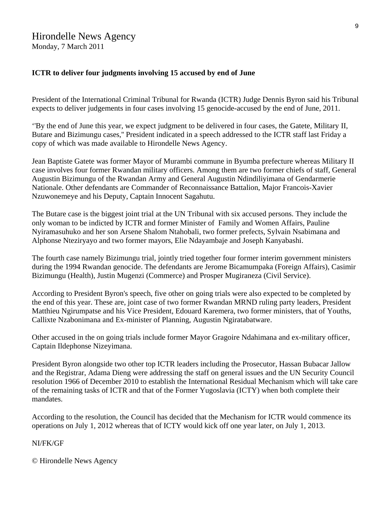# Hirondelle News Agency

Monday, 7 March 2011

### **ICTR to deliver four judgments involving 15 accused by end of June**

President of the International Criminal Tribunal for Rwanda (ICTR) Judge Dennis Byron said his Tribunal expects to deliver judgements in four cases involving 15 genocide-accused by the end of June, 2011.

''By the end of June this year, we expect judgment to be delivered in four cases, the Gatete, Military II, Butare and Bizimungu cases,'' President indicated in a speech addressed to the ICTR staff last Friday a copy of which was made available to Hirondelle News Agency.

Jean Baptiste Gatete was former Mayor of Murambi commune in Byumba prefecture whereas Military II case involves four former Rwandan military officers. Among them are two former chiefs of staff, General Augustin Bizimungu of the Rwandan Army and General Augustin Ndindiliyimana of Gendarmerie Nationale. Other defendants are Commander of Reconnaissance Battalion, Major Francois-Xavier Nzuwonemeye and his Deputy, Captain Innocent Sagahutu.

The Butare case is the biggest joint trial at the UN Tribunal with six accused persons. They include the only woman to be indicted by ICTR and former Minister of Family and Women Affairs, Pauline Nyiramasuhuko and her son Arsene Shalom Ntahobali, two former prefects, Sylvain Nsabimana and Alphonse Nteziryayo and two former mayors, Elie Ndayambaje and Joseph Kanyabashi.

The fourth case namely Bizimungu trial, jointly tried together four former interim government ministers during the 1994 Rwandan genocide. The defendants are Jerome Bicamumpaka (Foreign Affairs), Casimir Bizimungu (Health), Justin Mugenzi (Commerce) and Prosper Mugiraneza (Civil Service).

According to President Byron's speech, five other on going trials were also expected to be completed by the end of this year. These are, joint case of two former Rwandan MRND ruling party leaders, President Matthieu Ngirumpatse and his Vice President, Edouard Karemera, two former ministers, that of Youths, Callixte Nzabonimana and Ex-minister of Planning, Augustin Ngiratabatware.

Other accused in the on going trials include former Mayor Gragoire Ndahimana and ex-military officer, Captain Ildephonse Nizeyimana.

President Byron alongside two other top ICTR leaders including the Prosecutor, Hassan Bubacar Jallow and the Registrar, Adama Dieng were addressing the staff on general issues and the UN Security Council resolution 1966 of December 2010 to establish the International Residual Mechanism which will take care of the remaining tasks of ICTR and that of the Former Yugoslavia (ICTY) when both complete their mandates.

According to the resolution, the Council has decided that the Mechanism for ICTR would commence its operations on July 1, 2012 whereas that of ICTY would kick off one year later, on July 1, 2013.

### NI/FK/GF

© Hirondelle News Agency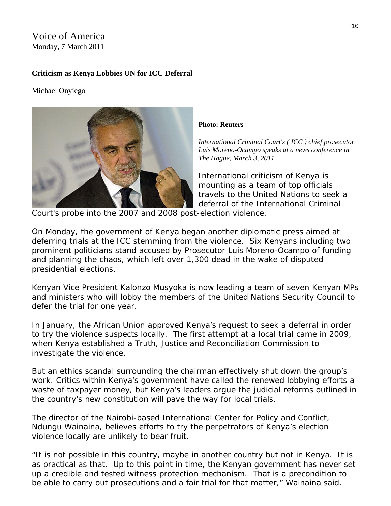## Voice of America Monday, 7 March 2011

### **Criticism as Kenya Lobbies UN for ICC Deferral**

Michael Onyiego



#### **Photo: Reuters**

*International Criminal Court's ( ICC ) chief prosecutor Luis Moreno-Ocampo speaks at a news conference in The Hague, March 3, 2011* 

International criticism of Kenya is mounting as a team of top officials travels to the United Nations to seek a deferral of the International Criminal

Court's probe into the 2007 and 2008 post -election violence.

On Monday, the government of Kenya began another diplomatic press aimed at deferring trials at the ICC stemming from the violence. Six Kenyans including two prominent politicians stand accused by Prosecutor Luis Moreno-Ocampo of funding and planning the chaos, which left over 1,300 dead in the wake of disputed presidential elections.

Kenyan Vice President Kalonzo Musyoka is now leading a team of seven Kenyan MPs and ministers who will lobby the members of the United Nations Security Council to defer the trial for one year.

 January, the African Union approved Kenya's request to seek a deferral in order In to try the violence suspects locally. The first attempt at a local trial came in 2009, when Kenya established a Truth, Justice and Reconciliation Commission to investigate the violence.

But an ethics scandal surrounding the chairman effectively shut down the group's work. Critics within Kenya's government have called the renewed lobbying efforts a waste of taxpayer money, but Kenya's leaders argue the judicial reforms outlined in the country's new constitution will pave the way for local trials.

The director of the Nairobi-based International Center for Policy and Conflict, Ndungu Wainaina, believes efforts to try the perpetrators of Kenya's election violence locally are unlikely to bear fruit.

"It is not possible in this country, maybe in another country but not in Kenya. It is as practical as that. Up to this point in time, the Kenyan government has never set up a credible and tested witness protection mechanism. That is a precondition to be able to carry out prosecutions and a fair trial for that matter," Wainaina said.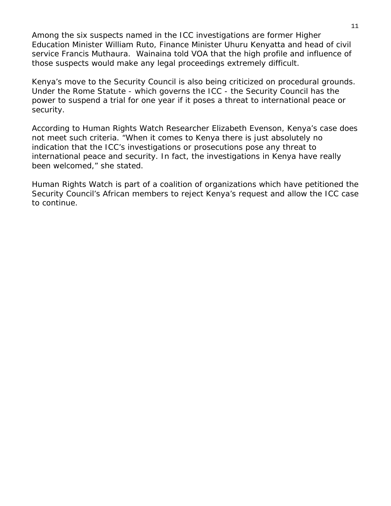Among the six suspects named in the ICC investigations are former Higher Education Minister William Ruto, Finance Minister Uhuru Kenyatta and head of civil service Francis Muthaura. Wainaina told VOA that the high profile and influence of those suspects would make any legal proceedings extremely difficult.

Kenya's move to the Security Council is also being criticized on procedural grounds. Under the Rome Statute - which governs the ICC - the Security Council has the power to suspend a trial for one year if it poses a threat to international peace or security.

According to Human Rights Watch Researcher Elizabeth Evenson, Kenya's case does international peace and security. In fact, the investigations in Kenya have really not meet such criteria. "When it comes to Kenya there is just absolutely no indication that the ICC's investigations or prosecutions pose any threat to been welcomed," she stated.

Human Rights Watch is part of a coalition of organizations which have petitioned the Security Council's African members to reject Kenya's request and allow the ICC case to continue.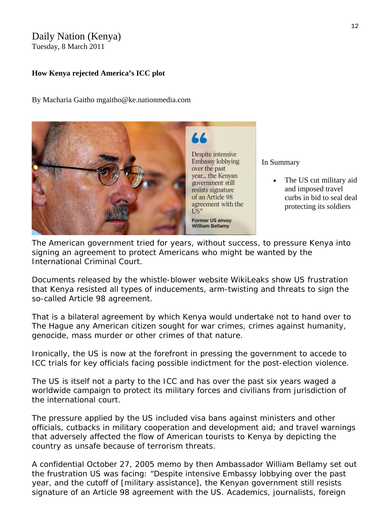# Daily Nation (Kenya)

Tuesday, 8 March 2011

### **How Kenya rejected America's ICC plot**

By Macharia Gaitho mgaitho@ke.nationmedia.com



In Summary

• The US cut military aid and imposed travel curbs in bid to seal deal protecting its soldiers

The American government tried for years, without success, to pressure Kenya into signing an agreement to protect Americans who might be wanted by the International Criminal Court.

Documents released by the whistle-blower website WikiLeaks show US frustration that Kenya resisted all types of inducements, arm-twisting and threats to sign the so-called Article 98 agreement.

That is a bilateral agreement by which Kenya would undertake not to hand over to The Hague any American citizen sought for war crimes, crimes against humanity, genocide, mass murder or other crimes of that nature.

Ironically, the US is now at the forefront in pressing the government to accede to ICC trials for key officials facing possible indictment for the post-election violence.

The US is itself not a party to the ICC and has over the past six years waged a worldwide campaign to protect its military forces and civilians from jurisdiction of the international court.

The pressure applied by the US included visa bans against ministers and other officials, cutbacks in military cooperation and development aid; and travel warnings that adversely affected the flow of American tourists to Kenya by depicting the country as unsafe because of terrorism threats.

A confidential October 27, 2005 memo by then Ambassador William Bellamy set out the frustration US was facing: "Despite intensive Embassy lobbying over the past year, and the cutoff of [military assistance], the Kenyan government still resists signature of an Article 98 agreement with the US. Academics, journalists, foreign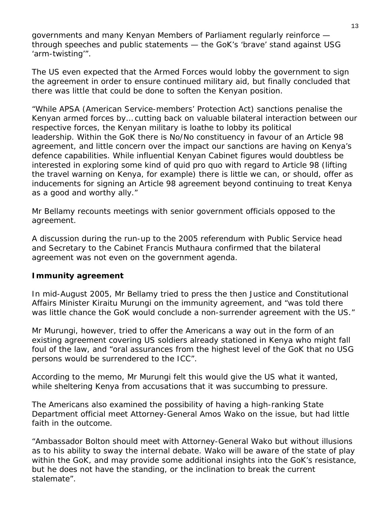governments and many Kenyan Members of Parliament regularly reinforce through speeches and public statements — the GoK's 'brave' stand against USG 'arm-twisting'".

The US even expected that the Armed Forces would lobby the government to sign the agreement in order to ensure continued military aid, but finally concluded that there was little that could be done to soften the Kenyan position.

"While APSA (American Service-members' Protection Act) sanctions penalise the Kenyan armed forces by… cutting back on valuable bilateral interaction between our respective forces, the Kenyan military is loathe to lobby its political leadership. Within the GoK there is No/No constituency in favour of an Article 98 agreement, and little concern over the impact our sanctions are having on Kenya's defence capabilities. While influential Kenyan Cabinet figures would doubtless be interested in exploring some kind of quid pro quo with regard to Article 98 (lifting the travel warning on Kenya, for example) there is little we can, or should, offer as inducements for signing an Article 98 agreement beyond continuing to treat Kenya as a good and worthy ally."

Mr Bellamy recounts meetings with senior government officials opposed to the agreement.

A discussion during the run-up to the 2005 referendum with Public Service head and Secretary to the Cabinet Francis Muthaura confirmed that the bilateral agreement was not even on the government agenda.

## **Immunity agreement**

In mid-August 2005, Mr Bellamy tried to press the then Justice and Constitutional Affairs Minister Kiraitu Murungi on the immunity agreement, and "was told there was little chance the GoK would conclude a non-surrender agreement with the US."

Mr Murungi, however, tried to offer the Americans a way out in the form of an existing agreement covering US soldiers already stationed in Kenya who might fall foul of the law, and "oral assurances from the highest level of the GoK that no USG persons would be surrendered to the ICC".

According to the memo, Mr Murungi felt this would give the US what it wanted, while sheltering Kenya from accusations that it was succumbing to pressure.

The Americans also examined the possibility of having a high-ranking State Department official meet Attorney-General Amos Wako on the issue, but had little faith in the outcome.

"Ambassador Bolton should meet with Attorney-General Wako but without illusions as to his ability to sway the internal debate. Wako will be aware of the state of play within the GoK, and may provide some additional insights into the GoK's resistance, but he does not have the standing, or the inclination to break the current stalemate".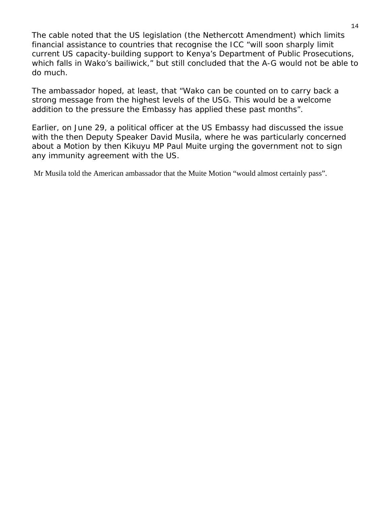The cable noted that the US legislation (the Nethercott Amendment) which limits financial assistance to countries that recognise the ICC "will soon sharply limit current US capacity-building support to Kenya's Department of Public Prosecutions, which falls in Wako's bailiwick," but still concluded that the A-G would not be able to do much.

The ambassador hoped, at least, that "Wako can be counted on to carry back a strong message from the highest levels of the USG. This would be a welcome addition to the pressure the Embassy has applied these past months".

Earlier, on June 29, a political officer at the US Embassy had discussed the issue with the then Deputy Speaker David Musila, where he was particularly concerned about a Motion by then Kikuyu MP Paul Muite urging the government not to sign any immunity agreement with the US.

Mr Musila told the American ambassador that the Muite Motion "would almost certainly pass".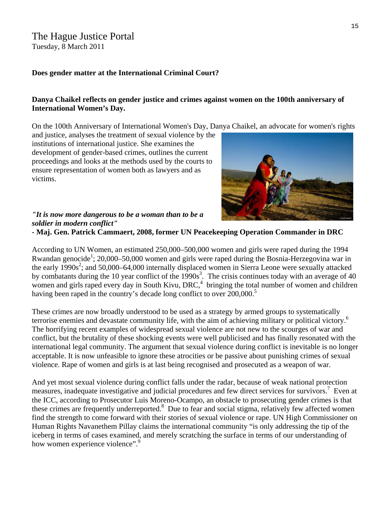### The Hague Justice Portal Tuesday, 8 March 2011

### **Does gender matter at the International Criminal Court?**

### **Danya Chaikel reflects on gender justice and crimes against women on the 100th anniversary of International Women's Day.**

On the 100th Anniversary of International Women's Day, Danya Chaikel, an advocate for women's rights

and justice, analyses the treatment of sexual violence by the institutions of international justice. She examines the development of gender-based crimes, outlines the current proceedings and looks at the methods used by the courts to ensure representation of women both as lawyers and as victims.



### *"It is now more dangerous to be a woman than to be a soldier in modern conflict"*

**- Maj. Gen. Patrick Cammaert, 2008, former UN Peacekeeping Operation Commander in DRC**

According to UN Women, an estimated 250,000–500,000 women and girls were raped during the 1994 Rwandan genocide<sup>1</sup>; 20,000–50,000 women and girls were raped during the Bosnia-Herzegovina war in the early  $1990s^2$ ; and 50,000–64,000 internally displaced women in Sierra Leone were sexually attacked by combatants during the 10 year conflict of the  $1990s<sup>3</sup>$ . The crisis continues today with an average of 40 women and girls raped every day in South Kivu, DRC, $4$  bringing the total number of women and children having been raped in the country's decade long conflict to over 200,000.<sup>5</sup>

These crimes are now broadly understood to be used as a strategy by armed groups to systematically terrorise enemies and devastate community life, with the aim of achieving military or political victory.<sup>6</sup> The horrifying recent examples of widespread sexual violence are not new to the scourges of war and conflict, but the brutality of these shocking events were well publicised and has finally resonated with the international legal community. The argument that sexual violence during conflict is inevitable is no longer acceptable. It is now unfeasible to ignore these atrocities or be passive about punishing crimes of sexual violence. Rape of women and girls is at last being recognised and prosecuted as a weapon of war.

And yet most sexual violence during conflict falls under the radar, because of weak national protection measures, inadequate investigative and judicial procedures and few direct services for survivors.<sup>7</sup> Even at the ICC, according to Prosecutor Luis Moreno-Ocampo, an obstacle to prosecuting gender crimes is that these crimes are frequently underreported.<sup>8</sup> Due to fear and social stigma, relatively few affected women find the strength to come forward with their stories of sexual violence or rape. UN High Commissioner on Human Rights Navanethem Pillay claims the international community "is only addressing the tip of the iceberg in terms of cases examined, and merely scratching the surface in terms of our understanding of how women experience violence".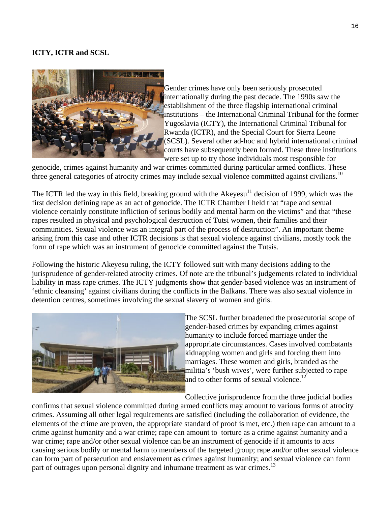### **ICTY, ICTR and SCSL**



institutions – the International Criminal Tribunal for the former Gender crimes have only been seriously prosecuted internationally during the past decade. The 1990s saw the establishment of the three flagship international criminal Yugoslavia (ICTY), the International Criminal Tribunal for Rwanda (ICTR), and the Special Court for Sierra Leone (SCSL). Several other ad-hoc and hybrid international criminal courts have subsequently been formed. These three institutions were set up to try those individuals most responsible for

genocide, crimes against humanity and war crimes committed during particular armed conflicts. These three general categories of atrocity crimes may include sexual violence committed against civilians.<sup>10</sup>

The ICTR led the way in this field, breaking ground with the  $Akeyesu^{11}$  decision of 1999, which was the first decision defining rape as an act of genocide. The ICTR Chamber I held that "rape and sexual violence certainly constitute infliction of serious bodily and mental harm on the victims" and that "these rapes resulted in physical and psychological destruction of Tutsi women, their families and their communities. Sexual violence was an integral part of the process of destruction". An important theme arising from this case and other ICTR decisions is that sexual violence against civilians, mostly took the form of rape which was an instrument of genocide committed against the Tutsis.

Following the historic Akeyesu ruling, the ICTY followed suit with many decisions adding to the jurisprudence of gender-related atrocity crimes. Of note are the tribunal's judgements related to individual liability in mass rape crimes. The ICTY judgments show that gender-based violence was an instrument of 'ethnic cleansing' against civilians during the conflicts in the Balkans. There was also sexual violence in detention centres, sometimes involving the sexual slavery of women and girls.



The SCSL further broadened the prosecutorial scope of gender-based crimes by expanding crimes against humanity to include forced marriage under the appropriate circumstances. Cases involved combatants kidnapping women and girls and forcing them into marriages. These women and girls, branded as the militia's 'bush wives', were further subjected to rape and to other forms of sexual violence.<sup>12</sup>

Collective jurisprudence from the three judicial bodies

confirms that sexual violence committed during armed conflicts may amount to various forms of atrocity crimes. Assuming all other legal requirements are satisfied (including the collaboration of evidence, the elements of the crime are proven, the appropriate standard of proof is met, etc.) then rape can amount to a crime against humanity and a war crime; rape can amount to torture as a crime against humanity and a war crime; rape and/or other sexual violence can be an instrument of genocide if it amounts to acts causing serious bodily or mental harm to members of the targeted group; rape and/or other sexual violence can form part of persecution and enslavement as crimes against humanity; and sexual violence can form part of outrages upon personal dignity and inhumane treatment as war crimes.<sup>13</sup>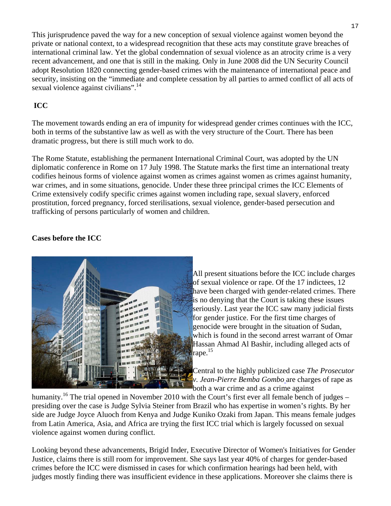This jurisprudence paved the way for a new conception of sexual violence against women beyond the private or national context, to a widespread recognition that these acts may constitute grave breaches of international criminal law. Yet the global condemnation of sexual violence as an atrocity crime is a very recent advancement, and one that is still in the making. Only in June 2008 did the UN Security Council adopt Resolution 1820 connecting gender-based crimes with the maintenance of international peace and security, insisting on the "immediate and complete cessation by all parties to armed conflict of all acts of sexual violence against civilians".<sup>14</sup>

## **ICC**

The movement towards ending an era of impunity for widespread gender crimes continues with the ICC, both in terms of the substantive law as well as with the very structure of the Court. There has been dramatic progress, but there is still much work to do.

The Rome Statute, establishing the permanent International Criminal Court, was adopted by the UN diplomatic conference in Rome on 17 July 1998. The Statute marks the first time an international treaty codifies heinous forms of violence against women as crimes against women as crimes against humanity, war crimes, and in some situations, genocide. Under these three principal crimes the ICC Elements of Crime extensively codify specific crimes against women including rape, sexual slavery, enforced prostitution, forced pregnancy, forced sterilisations, sexual violence, gender-based persecution and trafficking of persons particularly of women and children.

### **Cases before the ICC**



All present situations before the ICC include charges of sexual violence or rape. Of the 17 indictees, 12 have been charged with gender-related crimes. There is no denying that the Court is taking these issues seriously. Last year the ICC saw many judicial firsts for gender justice. For the first time charges of genocide were brought in the situation of Sudan, which is found in the second arrest warrant of Omar Hassan Ahmad Al Bashir, including alleged acts of rape. $15$ 

Central to the highly publicized case *The Prosecutor v. Jean-Pierre Bemba Gombo* are charges of rape as both a war crime and as a crime against

humanity.<sup>16</sup> The trial opened in November 2010 with the Court's first ever all female bench of judges – presiding over the case is Judge Sylvia Steiner from Brazil who has expertise in women's rights. By her side are Judge Joyce Aluoch from Kenya and Judge Kuniko Ozaki from Japan. This means female judges from Latin America, Asia, and Africa are trying the first ICC trial which is largely focussed on sexual violence against women during conflict.

Looking beyond these advancements, Brigid Inder, Executive Director of Women's Initiatives for Gender Justice, claims there is still room for improvement. She says last year 40% of charges for gender-based crimes before the ICC were dismissed in cases for which confirmation hearings had been held, with judges mostly finding there was insufficient evidence in these applications. Moreover she claims there is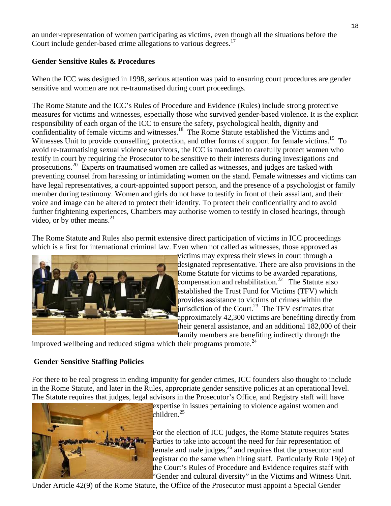an under-representation of women participating as victims, even though all the situations before the Court include gender-based crime allegations to various degrees.<sup>17</sup>

### **Gender Sensitive Rules & Procedures**

When the ICC was designed in 1998, serious attention was paid to ensuring court procedures are gender sensitive and women are not re-traumatised during court proceedings.

The Rome Statute and the ICC's Rules of Procedure and Evidence (Rules) include strong protective measures for victims and witnesses, especially those who survived gender-based violence. It is the explicit responsibility of each organ of the ICC to ensure the safety, psychological health, dignity and confidentiality of female victims and witnesses.<sup>18</sup> The Rome Statute established the Victims and Witnesses Unit to provide counselling, protection, and other forms of support for female victims.<sup>19</sup> To avoid re-traumatising sexual violence survivors, the ICC is mandated to carefully protect women who testify in court by requiring the Prosecutor to be sensitive to their interests during investigations and prosecutions.20 Experts on traumatised women are called as witnesses, and judges are tasked with preventing counsel from harassing or intimidating women on the stand. Female witnesses and victims can have legal representatives, a court-appointed support person, and the presence of a psychologist or family member during testimony. Women and girls do not have to testify in front of their assailant, and their voice and image can be altered to protect their identity. To protect their confidentiality and to avoid further frightening experiences, Chambers may authorise women to testify in closed hearings, through video, or by other means. $^{21}$ 

The Rome Statute and Rules also permit extensive direct participation of victims in ICC proceedings which is a first for international criminal law. Even when not called as witnesses, those approved as



victims may express their views in court through a designated representative. There are also provisions in the Rome Statute for victims to be awarded reparations, compensation and rehabilitation.<sup>22</sup> The Statute also established the Trust Fund for Victims (TFV) which provides assistance to victims of crimes within the jurisdiction of the Court.<sup>23</sup> The TFV estimates that approximately 42,300 victims are benefiting directly from their general assistance, and an additional 182,000 of their family members are benefiting indirectly through the

improved wellbeing and reduced stigma which their programs promote. $^{24}$ 

## **Gender Sensitive Staffing Policies**

For there to be real progress in ending impunity for gender crimes, ICC founders also thought to include in the Rome Statute, and later in the Rules, appropriate gender sensitive policies at an operational level. The Statute requires that judges, legal advisors in the Prosecutor's Office, and Registry staff will have



expertise in issues pertaining to violence against women and children. $^{25}$ 

For the election of ICC judges, the Rome Statute requires States Parties to take into account the need for fair representation of female and male judges, $^{26}$  and requires that the prosecutor and registrar do the same when hiring staff. Particularly Rule 19(e) of the Court's Rules of Procedure and Evidence requires staff with "Gender and cultural diversity" in the Victims and Witness Unit.

Under Article 42(9) of the Rome Statute, the Office of the Prosecutor must appoint a Special Gender